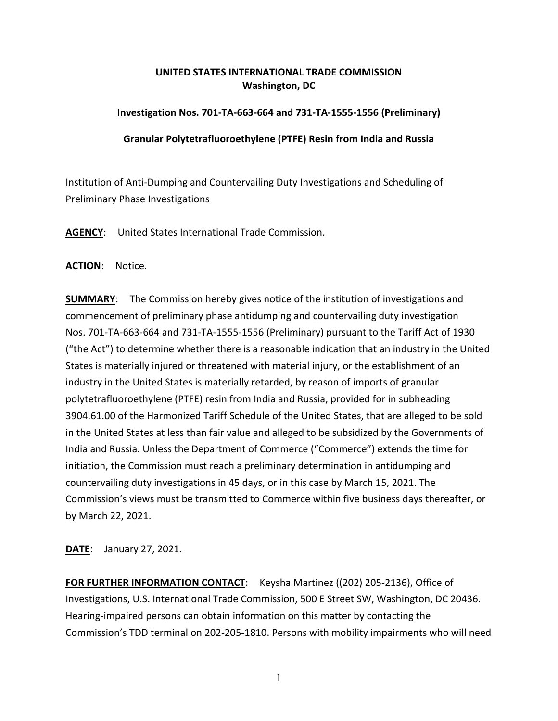## **UNITED STATES INTERNATIONAL TRADE COMMISSION Washington, DC**

## **Investigation Nos. 701-TA-663-664 and 731-TA-1555-1556 (Preliminary)**

## **Granular Polytetrafluoroethylene (PTFE) Resin from India and Russia**

Institution of Anti-Dumping and Countervailing Duty Investigations and Scheduling of Preliminary Phase Investigations

**AGENCY**: United States International Trade Commission.

**ACTION**: Notice.

**SUMMARY**: The Commission hereby gives notice of the institution of investigations and commencement of preliminary phase antidumping and countervailing duty investigation Nos. 701-TA-663-664 and 731-TA-1555-1556 (Preliminary) pursuant to the Tariff Act of 1930 ("the Act") to determine whether there is a reasonable indication that an industry in the United States is materially injured or threatened with material injury, or the establishment of an industry in the United States is materially retarded, by reason of imports of granular polytetrafluoroethylene (PTFE) resin from India and Russia, provided for in subheading 3904.61.00 of the Harmonized Tariff Schedule of the United States, that are alleged to be sold in the United States at less than fair value and alleged to be subsidized by the Governments of India and Russia. Unless the Department of Commerce ("Commerce") extends the time for initiation, the Commission must reach a preliminary determination in antidumping and countervailing duty investigations in 45 days, or in this case by March 15, 2021. The Commission's views must be transmitted to Commerce within five business days thereafter, or by March 22, 2021.

**DATE**: January 27, 2021.

**FOR FURTHER INFORMATION CONTACT**: Keysha Martinez ((202) 205-2136), Office of Investigations, U.S. International Trade Commission, 500 E Street SW, Washington, DC 20436. Hearing-impaired persons can obtain information on this matter by contacting the Commission's TDD terminal on 202-205-1810. Persons with mobility impairments who will need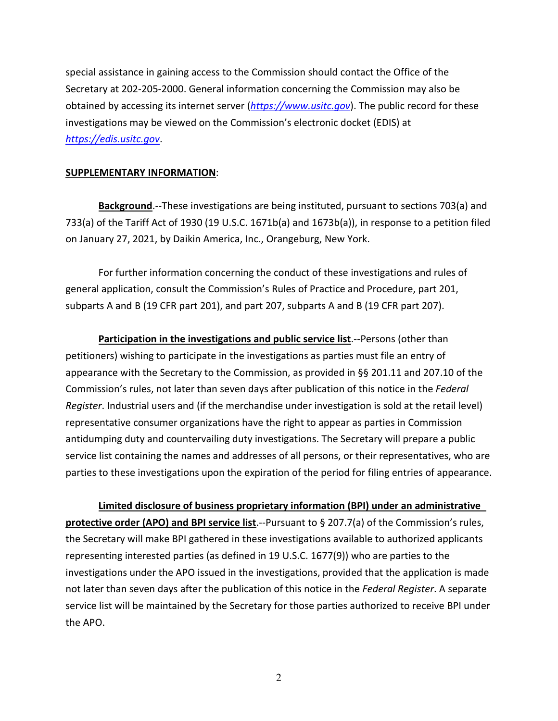special assistance in gaining access to the Commission should contact the Office of the Secretary at 202-205-2000. General information concerning the Commission may also be obtained by accessing its internet server (*[https://www.usitc.gov](https://www.usitc.gov/)*). The public record for these investigations may be viewed on the Commission's electronic docket (EDIS) at *[https://edis.usitc.gov](https://edis.usitc.gov/)*.

## **SUPPLEMENTARY INFORMATION**:

**Background**.--These investigations are being instituted, pursuant to sections 703(a) and 733(a) of the Tariff Act of 1930 (19 U.S.C. 1671b(a) and 1673b(a)), in response to a petition filed on January 27, 2021, by Daikin America, Inc., Orangeburg, New York.

For further information concerning the conduct of these investigations and rules of general application, consult the Commission's Rules of Practice and Procedure, part 201, subparts A and B (19 CFR part 201), and part 207, subparts A and B (19 CFR part 207).

**Participation in the investigations and public service list**.--Persons (other than petitioners) wishing to participate in the investigations as parties must file an entry of appearance with the Secretary to the Commission, as provided in §§ 201.11 and 207.10 of the Commission's rules, not later than seven days after publication of this notice in the *Federal Register*. Industrial users and (if the merchandise under investigation is sold at the retail level) representative consumer organizations have the right to appear as parties in Commission antidumping duty and countervailing duty investigations. The Secretary will prepare a public service list containing the names and addresses of all persons, or their representatives, who are parties to these investigations upon the expiration of the period for filing entries of appearance.

**Limited disclosure of business proprietary information (BPI) under an administrative protective order (APO) and BPI service list**.--Pursuant to § 207.7(a) of the Commission's rules, the Secretary will make BPI gathered in these investigations available to authorized applicants representing interested parties (as defined in 19 U.S.C. 1677(9)) who are parties to the investigations under the APO issued in the investigations, provided that the application is made not later than seven days after the publication of this notice in the *Federal Register*. A separate service list will be maintained by the Secretary for those parties authorized to receive BPI under the APO.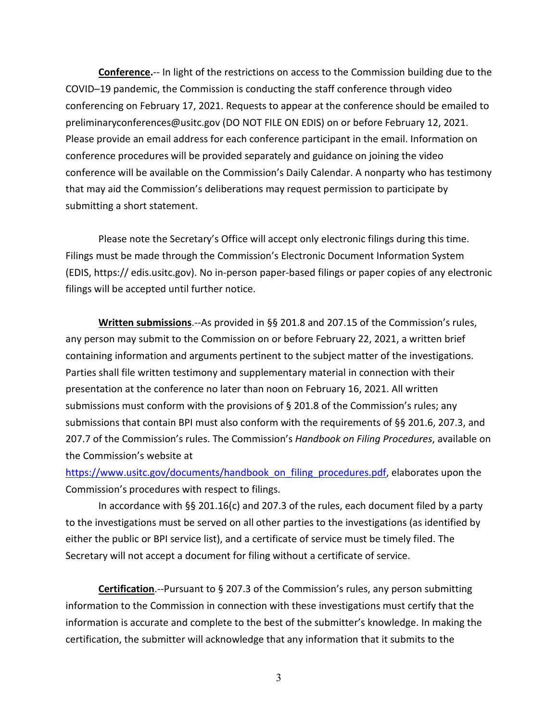**Conference.**-- In light of the restrictions on access to the Commission building due to the COVID–19 pandemic, the Commission is conducting the staff conference through video conferencing on February 17, 2021. Requests to appear at the conference should be emailed to preliminaryconferences@usitc.gov (DO NOT FILE ON EDIS) on or before February 12, 2021. Please provide an email address for each conference participant in the email. Information on conference procedures will be provided separately and guidance on joining the video conference will be available on the Commission's Daily Calendar. A nonparty who has testimony that may aid the Commission's deliberations may request permission to participate by submitting a short statement.

Please note the Secretary's Office will accept only electronic filings during this time. Filings must be made through the Commission's Electronic Document Information System (EDIS, https:// edis.usitc.gov). No in-person paper-based filings or paper copies of any electronic filings will be accepted until further notice.

**Written submissions**.--As provided in §§ 201.8 and 207.15 of the Commission's rules, any person may submit to the Commission on or before February 22, 2021, a written brief containing information and arguments pertinent to the subject matter of the investigations. Parties shall file written testimony and supplementary material in connection with their presentation at the conference no later than noon on February 16, 2021. All written submissions must conform with the provisions of  $\S$  201.8 of the Commission's rules; any submissions that contain BPI must also conform with the requirements of §§ 201.6, 207.3, and 207.7 of the Commission's rules. The Commission's *Handbook on Filing Procedures*, available on the Commission's website at

[https://www.usitc.gov/documents/handbook\\_on\\_filing\\_procedures.pdf,](https://www.usitc.gov/documents/handbook_on_filing_procedures.pdf) elaborates upon the Commission's procedures with respect to filings.

In accordance with §§ 201.16(c) and 207.3 of the rules, each document filed by a party to the investigations must be served on all other parties to the investigations (as identified by either the public or BPI service list), and a certificate of service must be timely filed. The Secretary will not accept a document for filing without a certificate of service.

**Certification**.--Pursuant to § 207.3 of the Commission's rules, any person submitting information to the Commission in connection with these investigations must certify that the information is accurate and complete to the best of the submitter's knowledge. In making the certification, the submitter will acknowledge that any information that it submits to the